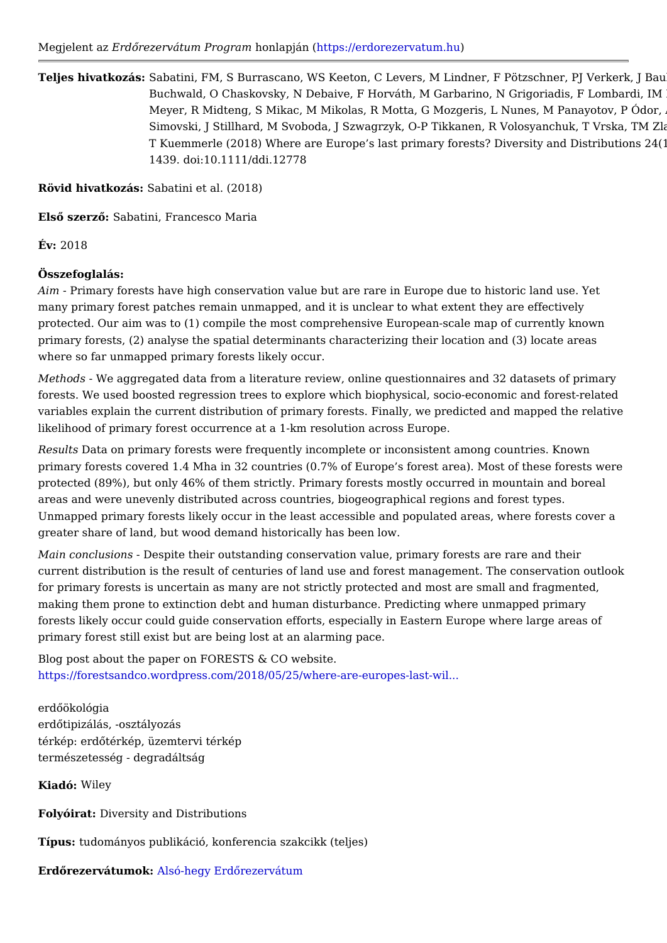Teljes hivatkozSáasbatini, FM, S Burrascano, WS Keeton, C Levers, M Lindner, F Pö Buchwald, O Chaskovsky, N Debaive, F Horváth, M Garbarino, N Gr Meyer, R Midteng, S Mikac, M Mikolas, R Motta, G Mozgeris, L Nun Simovski, J Stillhard, M Svoboda, J Szwagrzyk, O-P Tikkanen, R Vo T Kuemmerle (2018) Where are Europe s last primary forests? Dive 1439. doi:10.1111/ddi.12778

Rövid hivatkoz&sbatini et al. (2018)

ElsQ szer\$Q batini, Francesco Maria

 $Év: 2018$ 

Összefoglalás:

Aim- Primary forests have high conservation value but are rare in Europe due to h many primary forest patches remain unmapped, and it is unclear to what extent th protected. Our aim was to (1) compile the most comprehensive European scale ma primary forests, (2) analyse the spatial determinants characterizing their locatior where so far unmapped primary forests likely occur.

Methods We aggregated data from a literature review, online questionnaires and 3 forests. We used boosted regression trees to explore which biophysical, socio economic and forest relations relationships. variables explain the current distribution of primary forests. Finally, we predicted likelihood of primary forest occurrence at a 1 km resolution across Europe.

ResultBata on primary forests were frequently incomplete or inconsistent among c primary forests covered 1.4 Mha in 32 countries (0.7% of Europe s forest area). N protected (89%), but only 46% of them strictly. Primary forests mostly occurred in areas and were unevenly distributed across countries, biogeographical regions an Unmapped primary forests likely occur in the least accessible and populated area greater share of land, but wood demand historically has been low.

Main conclusioD sepite their outstanding conservation value, primary forests are r current distribution is the result of centuries of land use and forest management. for primary forests is uncertain as many are not strictly protected and most are s making them prone to extinction debt and human disturbance. Predicting where un forests likely occur could guide conservation efforts, especially in Eastern Europ primary forest still exist but are being lost at an alarming pace.

Blog post about the paper on FORESTS & CO website. [https://forestsandco.wordpress.com/2018/05/25/where-a](https://forestsandco.wordpress.com/2018/05/25/where-are-europes-last-wild-forests/)re-europes-last-wil...

erdQökológia erdQtipizálás, -osztályozás térkép: erdQtérkép, üzemtervi térkép természetesség - degradáltság

Kiadó Wiley

FolyóiraDiversity and Distributions

Típus: tudományos publikáció, konferencia szakcikk (teljes)

ErdQrezervátum & ksó-hegy ErdQrezervátum